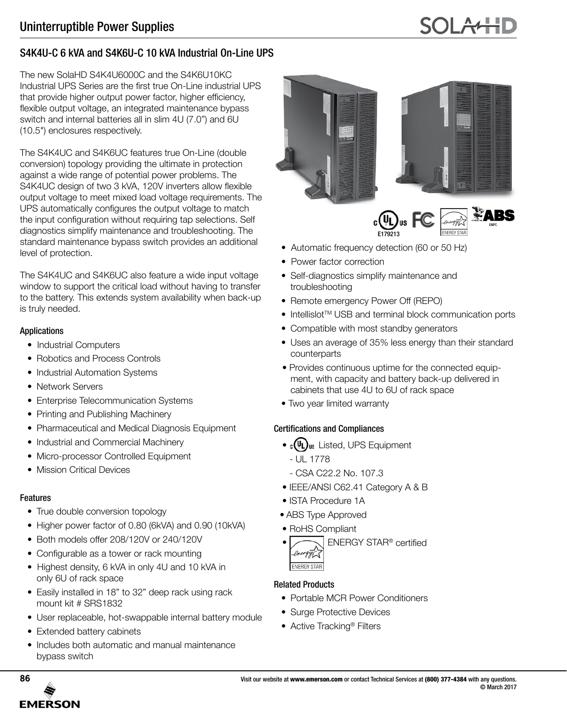# S4K4U-C 6 kVA and S4K6U-C 10 kVA Industrial On-Line UPS

The new SolaHD S4K4U6000C and the S4K6U10KC Industrial UPS Series are the first true On-Line industrial UPS that provide higher output power factor, higher efficiency, flexible output voltage, an integrated maintenance bypass switch and internal batteries all in slim 4U (7.0") and 6U (10.5") enclosures respectively.

The S4K4UC and S4K6UC features true On-Line (double conversion) topology providing the ultimate in protection against a wide range of potential power problems. The S4K4UC design of two 3 kVA, 120V inverters allow flexible output voltage to meet mixed load voltage requirements. The UPS automatically configures the output voltage to match the input configuration without requiring tap selections. Self diagnostics simplify maintenance and troubleshooting. The standard maintenance bypass switch provides an additional level of protection.

The S4K4UC and S4K6UC also feature a wide input voltage window to support the critical load without having to transfer to the battery. This extends system availability when back-up is truly needed.

## Applications

- Industrial Computers
- Robotics and Process Controls
- Industrial Automation Systems
- Network Servers
- Enterprise Telecommunication Systems
- Printing and Publishing Machinery
- Pharmaceutical and Medical Diagnosis Equipment
- Industrial and Commercial Machinery
- Micro-processor Controlled Equipment
- Mission Critical Devices

# Features

- True double conversion topology
- Higher power factor of 0.80 (6kVA) and 0.90 (10kVA)
- Both models offer 208/120V or 240/120V
- Configurable as a tower or rack mounting
- Highest density, 6 kVA in only 4U and 10 kVA in only 6U of rack space
- Easily installed in 18" to 32" deep rack using rack mount kit # SRS1832
- User replaceable, hot-swappable internal battery module
- Extended battery cabinets
- Includes both automatic and manual maintenance bypass switch







- Automatic frequency detection (60 or 50 Hz)
- Power factor correction
- Self-diagnostics simplify maintenance and troubleshooting
- Remote emergency Power Off (REPO)
- Intellislot<sup>™</sup> USB and terminal block communication ports
- Compatible with most standby generators
- Uses an average of 35% less energy than their standard counterparts
- Provides continuous uptime for the connected equipment, with capacity and battery back-up delivered in cabinets that use 4U to 6U of rack space
- Two year limited warranty

# Certifications and Compliances

- $\cdot$   $\cdot$  (UL)<sub>us</sub> Listed, UPS Equipment
	- UL 1778
	- CSA C22.2 No. 107.3
- IEEE/ANSI C62.41 Category A & B
- ISTA Procedure 1A
- ABS Type Approved
- RoHS Compliant
- ENERGY STAR® certified energy **ENERGY STAR**

# Related Products

- Portable MCR Power Conditioners
- Surge Protective Devices
- Active Tracking<sup>®</sup> Filters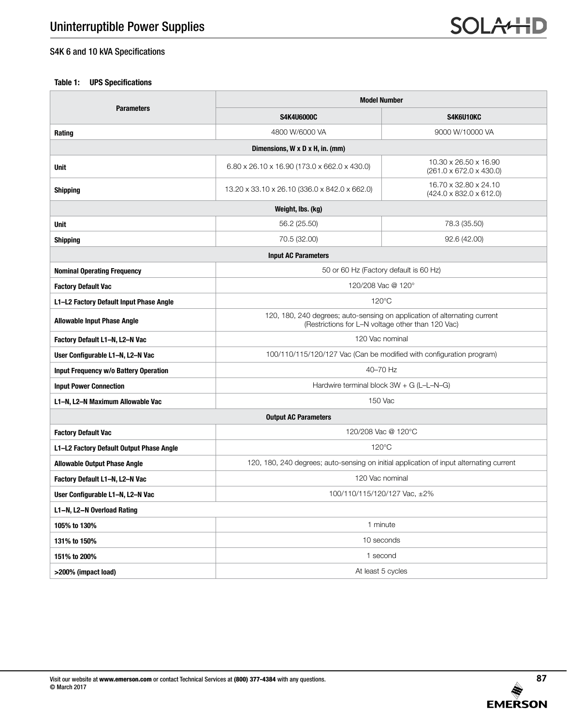# S4K 6 and 10 kVA Specifications

## **Table 1: UPS Specifications**

|                                          | <b>Model Number</b>                                                                                                            |                                                              |  |  |  |  |  |
|------------------------------------------|--------------------------------------------------------------------------------------------------------------------------------|--------------------------------------------------------------|--|--|--|--|--|
| <b>Parameters</b>                        | <b>S4K4U6000C</b>                                                                                                              | S4K6U10KC                                                    |  |  |  |  |  |
| Rating                                   | 4800 W/6000 VA                                                                                                                 | 9000 W/10000 VA                                              |  |  |  |  |  |
|                                          | Dimensions, W x D x H, in. (mm)                                                                                                |                                                              |  |  |  |  |  |
| <b>Unit</b>                              | 6.80 x 26.10 x 16.90 (173.0 x 662.0 x 430.0)                                                                                   | 10.30 x 26.50 x 16.90<br>$(261.0 \times 672.0 \times 430.0)$ |  |  |  |  |  |
| <b>Shipping</b>                          | 16.70 x 32.80 x 24.10<br>13.20 x 33.10 x 26.10 (336.0 x 842.0 x 662.0)<br>$(424.0 \times 832.0 \times 612.0)$                  |                                                              |  |  |  |  |  |
| Weight, Ibs. (kg)                        |                                                                                                                                |                                                              |  |  |  |  |  |
| <b>Unit</b>                              | 56.2 (25.50)<br>78.3 (35.50)                                                                                                   |                                                              |  |  |  |  |  |
| <b>Shipping</b>                          | 70.5 (32.00)                                                                                                                   | 92.6 (42.00)                                                 |  |  |  |  |  |
|                                          | <b>Input AC Parameters</b>                                                                                                     |                                                              |  |  |  |  |  |
| <b>Nominal Operating Frequency</b>       | 50 or 60 Hz (Factory default is 60 Hz)                                                                                         |                                                              |  |  |  |  |  |
| <b>Factory Default Vac</b>               | 120/208 Vac @ 120°                                                                                                             |                                                              |  |  |  |  |  |
| L1-L2 Factory Default Input Phase Angle  | $120^{\circ}$ C                                                                                                                |                                                              |  |  |  |  |  |
| <b>Allowable Input Phase Angle</b>       | 120, 180, 240 degrees; auto-sensing on application of alternating current<br>(Restrictions for L-N voltage other than 120 Vac) |                                                              |  |  |  |  |  |
| Factory Default L1-N, L2-N Vac           | 120 Vac nominal                                                                                                                |                                                              |  |  |  |  |  |
| User Configurable L1-N, L2-N Vac         | 100/110/115/120/127 Vac (Can be modified with configuration program)                                                           |                                                              |  |  |  |  |  |
| Input Frequency w/o Battery Operation    | 40-70 Hz                                                                                                                       |                                                              |  |  |  |  |  |
| <b>Input Power Connection</b>            | Hardwire terminal block $3W + G (L-L-N-G)$                                                                                     |                                                              |  |  |  |  |  |
| L1-N, L2-N Maximum Allowable Vac         | 150 Vac                                                                                                                        |                                                              |  |  |  |  |  |
|                                          | <b>Output AC Parameters</b>                                                                                                    |                                                              |  |  |  |  |  |
| <b>Factory Default Vac</b>               | 120/208 Vac @ 120°C                                                                                                            |                                                              |  |  |  |  |  |
| L1-L2 Factory Default Output Phase Angle | $120^{\circ}$ C                                                                                                                |                                                              |  |  |  |  |  |
| <b>Allowable Output Phase Angle</b>      | 120, 180, 240 degrees; auto-sensing on initial application of input alternating current                                        |                                                              |  |  |  |  |  |
| Factory Default L1-N, L2-N Vac           | 120 Vac nominal                                                                                                                |                                                              |  |  |  |  |  |
| User Configurable L1-N, L2-N Vac         | 100/110/115/120/127 Vac, ±2%                                                                                                   |                                                              |  |  |  |  |  |
| L1-N, L2-N Overload Rating               |                                                                                                                                |                                                              |  |  |  |  |  |
| 105% to 130%                             | 1 minute                                                                                                                       |                                                              |  |  |  |  |  |
| 131% to 150%                             | 10 seconds                                                                                                                     |                                                              |  |  |  |  |  |
| 151% to 200%                             | 1 second                                                                                                                       |                                                              |  |  |  |  |  |
| >200% (impact load)                      | At least 5 cycles                                                                                                              |                                                              |  |  |  |  |  |

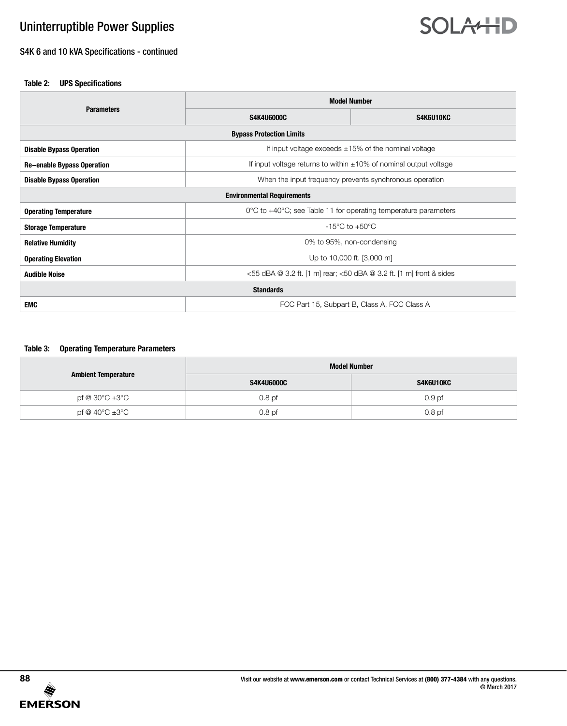## S4K 6 and 10 kVA Specifications - continued

#### **Table 2: UPS Specifications**

|                                   | <b>Model Number</b>                                                     |           |  |  |  |  |
|-----------------------------------|-------------------------------------------------------------------------|-----------|--|--|--|--|
| <b>Parameters</b>                 | <b>S4K4U6000C</b>                                                       | S4K6U10KC |  |  |  |  |
| <b>Bypass Protection Limits</b>   |                                                                         |           |  |  |  |  |
| <b>Disable Bypass Operation</b>   | If input voltage exceeds $\pm 15\%$ of the nominal voltage              |           |  |  |  |  |
| <b>Re-enable Bypass Operation</b> | If input voltage returns to within $\pm 10\%$ of nominal output voltage |           |  |  |  |  |
| <b>Disable Bypass Operation</b>   | When the input frequency prevents synchronous operation                 |           |  |  |  |  |
| <b>Environmental Requirements</b> |                                                                         |           |  |  |  |  |
| <b>Operating Temperature</b>      | 0°C to +40°C; see Table 11 for operating temperature parameters         |           |  |  |  |  |
| <b>Storage Temperature</b>        | $-15^{\circ}$ C to $+50^{\circ}$ C                                      |           |  |  |  |  |
| <b>Relative Humidity</b>          | 0% to 95%, non-condensing                                               |           |  |  |  |  |
| <b>Operating Elevation</b>        | Up to 10,000 ft. [3,000 m]                                              |           |  |  |  |  |
| <b>Audible Noise</b>              | <55 dBA @ 3.2 ft. [1 m] rear; <50 dBA @ 3.2 ft. [1 m] front & sides     |           |  |  |  |  |
| <b>Standards</b>                  |                                                                         |           |  |  |  |  |
| <b>EMC</b>                        | FCC Part 15, Subpart B, Class A, FCC Class A                            |           |  |  |  |  |

#### **Table 3: Operating Temperature Parameters**

|                            | <b>Model Number</b> |                   |  |  |
|----------------------------|---------------------|-------------------|--|--|
| <b>Ambient Temperature</b> | S4K4U6000C          | S4K6U10KC         |  |  |
| pf @ 30°C ±3°C             | 0.8 <sub>pf</sub>   | 0.9 <sub>pf</sub> |  |  |
| pf @ 40°C ±3°C             | 0.8 <sub>pf</sub>   | 0.8 <sub>pf</sub> |  |  |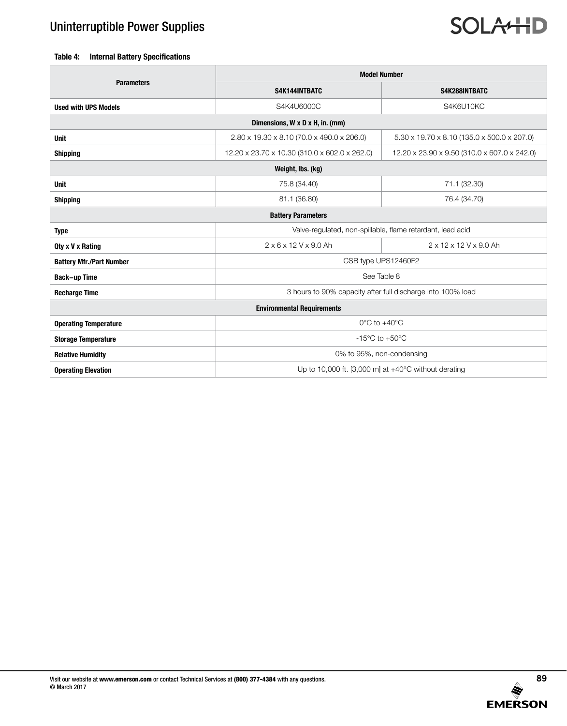### **Table 4: Internal Battery Specifications**

|                                   | <b>Model Number</b>                                            |                                              |  |  |  |  |  |
|-----------------------------------|----------------------------------------------------------------|----------------------------------------------|--|--|--|--|--|
| <b>Parameters</b>                 | S4K144INTBATC                                                  | S4K288INTBATC                                |  |  |  |  |  |
| <b>Used with UPS Models</b>       | S4K4U6000C                                                     | S4K6U10KC                                    |  |  |  |  |  |
| Dimensions, W x D x H, in. (mm)   |                                                                |                                              |  |  |  |  |  |
| <b>Unit</b>                       | 2.80 x 19.30 x 8.10 (70.0 x 490.0 x 206.0)                     | 5.30 x 19.70 x 8.10 (135.0 x 500.0 x 207.0)  |  |  |  |  |  |
| <b>Shipping</b>                   | 12.20 x 23.70 x 10.30 (310.0 x 602.0 x 262.0)                  | 12.20 x 23.90 x 9.50 (310.0 x 607.0 x 242.0) |  |  |  |  |  |
|                                   | Weight, Ibs. (kg)                                              |                                              |  |  |  |  |  |
| <b>Unit</b>                       | 75.8 (34.40)                                                   | 71.1 (32.30)                                 |  |  |  |  |  |
| <b>Shipping</b>                   | 81.1 (36.80)<br>76.4 (34.70)                                   |                                              |  |  |  |  |  |
|                                   | <b>Battery Parameters</b>                                      |                                              |  |  |  |  |  |
| <b>Type</b>                       | Valve-regulated, non-spillable, flame retardant, lead acid     |                                              |  |  |  |  |  |
| Qty x V x Rating                  | $2 \times 6 \times 12$ V x 9.0 Ah<br>2 x 12 x 12 V x 9.0 Ah    |                                              |  |  |  |  |  |
| <b>Battery Mfr./Part Number</b>   | CSB type UPS12460F2                                            |                                              |  |  |  |  |  |
| <b>Back-up Time</b>               | See Table 8                                                    |                                              |  |  |  |  |  |
| <b>Recharge Time</b>              | 3 hours to 90% capacity after full discharge into 100% load    |                                              |  |  |  |  |  |
| <b>Environmental Requirements</b> |                                                                |                                              |  |  |  |  |  |
| <b>Operating Temperature</b>      | $0^{\circ}$ C to $+40^{\circ}$ C                               |                                              |  |  |  |  |  |
| <b>Storage Temperature</b>        | $-15^{\circ}$ C to $+50^{\circ}$ C                             |                                              |  |  |  |  |  |
| <b>Relative Humidity</b>          | 0% to 95%, non-condensing                                      |                                              |  |  |  |  |  |
| <b>Operating Elevation</b>        | Up to 10,000 ft. [3,000 m] at $+40^{\circ}$ C without derating |                                              |  |  |  |  |  |

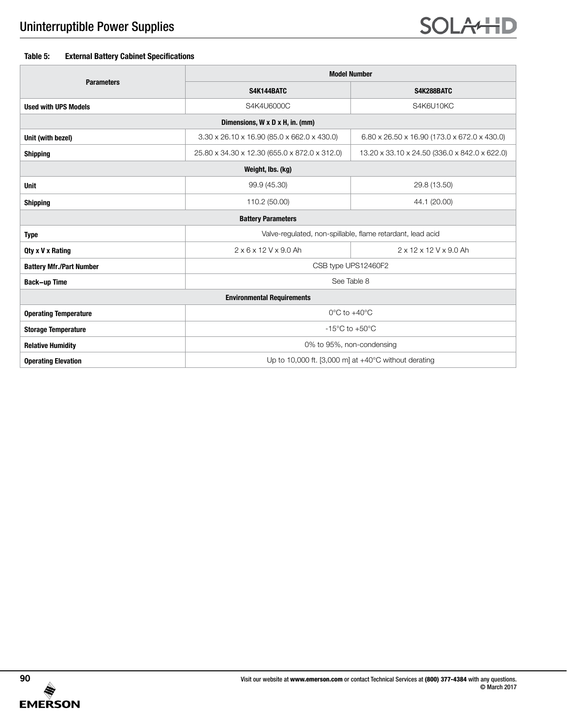#### **Table 5: External Battery Cabinet Specifications**

|                                   | <b>Model Number</b>                                                                            |              |  |  |  |  |  |
|-----------------------------------|------------------------------------------------------------------------------------------------|--------------|--|--|--|--|--|
| <b>Parameters</b>                 | S4K144BATC                                                                                     | S4K288BATC   |  |  |  |  |  |
| <b>Used with UPS Models</b>       | S4K4U6000C                                                                                     | S4K6U10KC    |  |  |  |  |  |
| Dimensions, W x D x H, in. (mm)   |                                                                                                |              |  |  |  |  |  |
| Unit (with bezel)                 | 3.30 x 26.10 x 16.90 (85.0 x 662.0 x 430.0)<br>6.80 x 26.50 x 16.90 (173.0 x 672.0 x 430.0)    |              |  |  |  |  |  |
| <b>Shipping</b>                   | 25.80 x 34.30 x 12.30 (655.0 x 872.0 x 312.0)<br>13.20 x 33.10 x 24.50 (336.0 x 842.0 x 622.0) |              |  |  |  |  |  |
|                                   | Weight, Ibs. (kg)                                                                              |              |  |  |  |  |  |
| <b>Unit</b>                       | 99.9 (45.30)                                                                                   | 29.8 (13.50) |  |  |  |  |  |
| <b>Shipping</b>                   | 110.2 (50.00)<br>44.1 (20.00)                                                                  |              |  |  |  |  |  |
| <b>Battery Parameters</b>         |                                                                                                |              |  |  |  |  |  |
| <b>Type</b>                       | Valve-regulated, non-spillable, flame retardant, lead acid                                     |              |  |  |  |  |  |
| Qty x V x Rating                  | 2 x 6 x 12 V x 9.0 Ah<br>2 x 12 x 12 V x 9.0 Ah                                                |              |  |  |  |  |  |
| <b>Battery Mfr./Part Number</b>   | CSB type UPS12460F2                                                                            |              |  |  |  |  |  |
| <b>Back-up Time</b>               | See Table 8                                                                                    |              |  |  |  |  |  |
| <b>Environmental Requirements</b> |                                                                                                |              |  |  |  |  |  |
| <b>Operating Temperature</b>      | $0^{\circ}$ C to $+40^{\circ}$ C                                                               |              |  |  |  |  |  |
| <b>Storage Temperature</b>        | $-15^{\circ}$ C to $+50^{\circ}$ C                                                             |              |  |  |  |  |  |
| <b>Relative Humidity</b>          | 0% to 95%, non-condensing                                                                      |              |  |  |  |  |  |
| <b>Operating Elevation</b>        | Up to 10,000 ft. [3,000 m] at $+40^{\circ}$ C without derating                                 |              |  |  |  |  |  |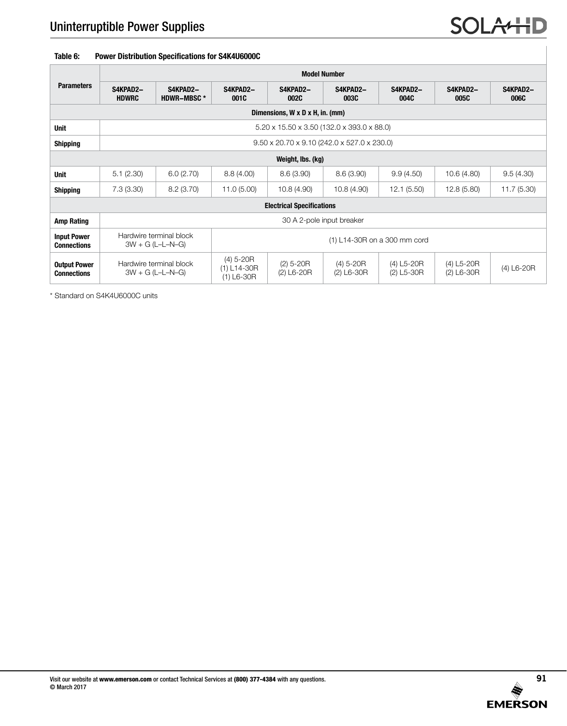### **Table 6: Power Distribution Specifications for S4K4U6000C**

|                                           | <b>Model Number</b>                                                   |                                               |                                              |                             |                             |                                           |                              |                  |  |
|-------------------------------------------|-----------------------------------------------------------------------|-----------------------------------------------|----------------------------------------------|-----------------------------|-----------------------------|-------------------------------------------|------------------------------|------------------|--|
| <b>Parameters</b>                         | S4KPAD2-<br><b>HDWRC</b>                                              | S4KPAD2-<br><b>HDWR-MBSC*</b>                 | S4KPAD2-<br>001C                             | S4KPAD2-<br><b>002C</b>     | S4KPAD2-<br><b>003C</b>     | S4KPAD2-<br>004C                          | S4KPAD2-<br>005C             | S4KPAD2-<br>006C |  |
| Dimensions, W x D x H, in. (mm)           |                                                                       |                                               |                                              |                             |                             |                                           |                              |                  |  |
| <b>Unit</b>                               | 5.20 x 15.50 x 3.50 (132.0 x 393.0 x 88.0)                            |                                               |                                              |                             |                             |                                           |                              |                  |  |
| <b>Shipping</b>                           | $9.50 \times 20.70 \times 9.10$ (242.0 $\times$ 527.0 $\times$ 230.0) |                                               |                                              |                             |                             |                                           |                              |                  |  |
|                                           |                                                                       |                                               |                                              | Weight, Ibs. (kg)           |                             |                                           |                              |                  |  |
| <b>Unit</b>                               | 5.1(2.30)                                                             | 6.0(2.70)                                     | 8.8(4.00)                                    | 8.6(3.90)                   | 8.6(3.90)                   | 9.9(4.50)                                 | 10.6 (4.80)                  | 9.5(4.30)        |  |
| <b>Shipping</b>                           | 7.3(3.30)                                                             | 8.2(3.70)                                     | 11.0(5.00)                                   | 10.8(4.90)                  | 10.8(4.90)                  | 12.1(5.50)                                | 12.8 (5.80)                  | 11.7(5.30)       |  |
| <b>Electrical Specifications</b>          |                                                                       |                                               |                                              |                             |                             |                                           |                              |                  |  |
| <b>Amp Rating</b>                         | 30 A 2-pole input breaker                                             |                                               |                                              |                             |                             |                                           |                              |                  |  |
| <b>Input Power</b><br><b>Connections</b>  |                                                                       | Hardwire terminal block<br>$3W + G (L-L-N-G)$ | (1) L14-30R on a 300 mm cord                 |                             |                             |                                           |                              |                  |  |
| <b>Output Power</b><br><b>Connections</b> |                                                                       | Hardwire terminal block<br>$3W + G (L-L-N-G)$ | $(4)$ 5-20R<br>$(1) L14-30R$<br>$(1)$ L6-30R | $(2)$ 5-20R<br>$(2)$ L6-20R | $(4) 5-20R$<br>$(2)$ L6-30R | $(4)$ L5-20R<br>$(2)$ L <sub>5</sub> -30R | $(4)$ L5-20R<br>$(2)$ L6-30R | $(4)$ L6-20R     |  |

\* Standard on S4K4U6000C units